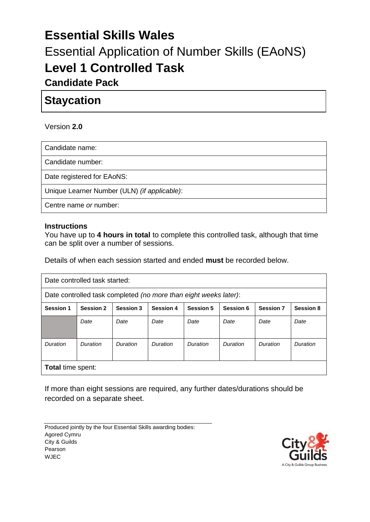# **Essential Skills Wales** Essential Application of Number Skills (EAoNS) **Level 1 Controlled Task**

# **Candidate Pack**

# **Staycation**

#### Version **2.0**

Candidate name:

Candidate number:

Date registered for EAoNS:

Unique Learner Number (ULN) *(if applicable)*:

Centre name *or* number:

#### **Instructions**

You have up to **4 hours in total** to complete this controlled task, although that time can be split over a number of sessions.

Details of when each session started and ended **must** be recorded below.

| Date controlled task started:                                    |                  |                  |                  |                  |           |                  |                  |  |
|------------------------------------------------------------------|------------------|------------------|------------------|------------------|-----------|------------------|------------------|--|
| Date controlled task completed (no more than eight weeks later): |                  |                  |                  |                  |           |                  |                  |  |
| <b>Session 1</b>                                                 | <b>Session 2</b> | <b>Session 3</b> | <b>Session 4</b> | <b>Session 5</b> | Session 6 | <b>Session 7</b> | <b>Session 8</b> |  |
|                                                                  | Date             | Date             | Date             | Date             | Date      | Date             | Date             |  |
| Duration                                                         | Duration         | Duration         | Duration         | Duration         | Duration  | Duration         | Duration         |  |
| <b>Total time spent:</b>                                         |                  |                  |                  |                  |           |                  |                  |  |

If more than eight sessions are required, any further dates/durations should be recorded on a separate sheet.

Produced jointly by the four Essential Skills awarding bodies: Agored Cymru City & Guilds Pearson WJEC

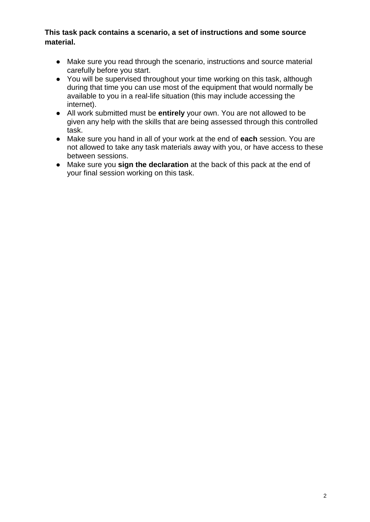#### **This task pack contains a scenario, a set of instructions and some source material.**

- Make sure you read through the scenario, instructions and source material carefully before you start.
- You will be supervised throughout your time working on this task, although during that time you can use most of the equipment that would normally be available to you in a real-life situation (this may include accessing the internet).
- All work submitted must be **entirely** your own. You are not allowed to be given any help with the skills that are being assessed through this controlled task.
- Make sure you hand in all of your work at the end of **each** session. You are not allowed to take any task materials away with you, or have access to these between sessions.
- Make sure you **sign the declaration** at the back of this pack at the end of your final session working on this task.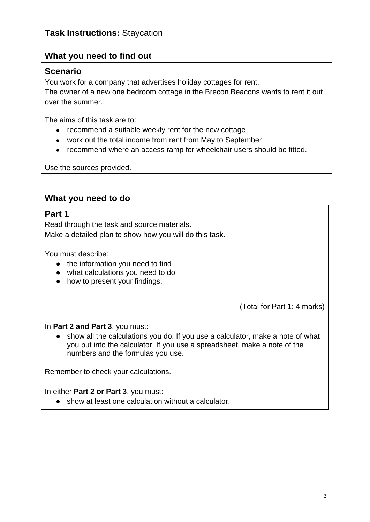### **What you need to find out**

### **Scenario**

You work for a company that advertises holiday cottages for rent.

The owner of a new one bedroom cottage in the Brecon Beacons wants to rent it out over the summer.

The aims of this task are to:

- recommend a suitable weekly rent for the new cottage
- work out the total income from rent from May to September
- recommend where an access ramp for wheelchair users should be fitted.

Use the sources provided.

### **What you need to do**

### **Part 1**

Read through the task and source materials. Make a detailed plan to show how you will do this task.

You must describe:

- the information you need to find
- what calculations you need to do
- how to present your findings.

(Total for Part 1: 4 marks)

#### In **Part 2 and Part 3**, you must:

● show all the calculations you do. If you use a calculator, make a note of what you put into the calculator. If you use a spreadsheet, make a note of the numbers and the formulas you use.

Remember to check your calculations.

#### In either **Part 2 or Part 3**, you must:

● show at least one calculation without a calculator.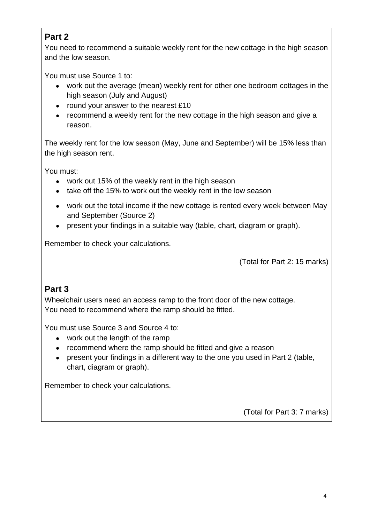### **Part 2**

You need to recommend a suitable weekly rent for the new cottage in the high season and the low season.

You must use Source 1 to:

- work out the average (mean) weekly rent for other one bedroom cottages in the high season (July and August)
- round your answer to the nearest £10
- recommend a weekly rent for the new cottage in the high season and give a reason.

The weekly rent for the low season (May, June and September) will be 15% less than the high season rent.

You must:

- work out 15% of the weekly rent in the high season
- take off the 15% to work out the weekly rent in the low season
- work out the total income if the new cottage is rented every week between May and September (Source 2)
- present your findings in a suitable way (table, chart, diagram or graph).

Remember to check your calculations.

(Total for Part 2: 15 marks)

### **Part 3**

Wheelchair users need an access ramp to the front door of the new cottage. You need to recommend where the ramp should be fitted.

You must use Source 3 and Source 4 to:

- work out the length of the ramp
- recommend where the ramp should be fitted and give a reason
- present your findings in a different way to the one you used in Part 2 (table, chart, diagram or graph).

Remember to check your calculations.

(Total for Part 3: 7 marks)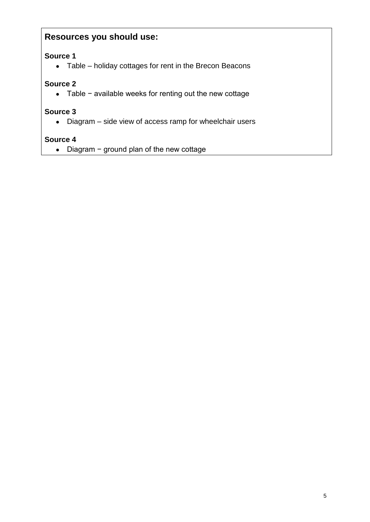### **Resources you should use:**

### **Source 1**

● Table – holiday cottages for rent in the Brecon Beacons

### **Source 2**

● Table − available weeks for renting out the new cottage

#### **Source 3**

● Diagram – side view of access ramp for wheelchair users

#### **Source 4**

● Diagram − ground plan of the new cottage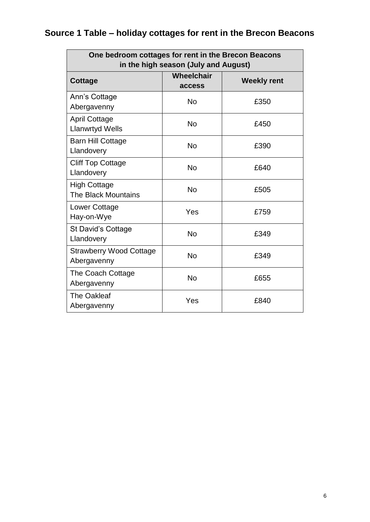# **Source 1 Table – holiday cottages for rent in the Brecon Beacons**

| One bedroom cottages for rent in the Brecon Beacons<br>in the high season (July and August) |                      |                    |  |  |  |  |
|---------------------------------------------------------------------------------------------|----------------------|--------------------|--|--|--|--|
| <b>Cottage</b>                                                                              | Wheelchair<br>access | <b>Weekly rent</b> |  |  |  |  |
| Ann's Cottage<br>Abergavenny                                                                | <b>No</b>            | £350               |  |  |  |  |
| <b>April Cottage</b><br><b>Llanwrtyd Wells</b>                                              | <b>No</b>            | £450               |  |  |  |  |
| <b>Barn Hill Cottage</b><br>Llandovery                                                      | <b>No</b>            | £390               |  |  |  |  |
| <b>Cliff Top Cottage</b><br>Llandovery                                                      | <b>No</b>            | £640               |  |  |  |  |
| <b>High Cottage</b><br><b>The Black Mountains</b>                                           | <b>No</b>            | £505               |  |  |  |  |
| Lower Cottage<br>Hay-on-Wye                                                                 | Yes                  | £759               |  |  |  |  |
| St David's Cottage<br>Llandovery                                                            | <b>No</b>            | £349               |  |  |  |  |
| <b>Strawberry Wood Cottage</b><br>Abergavenny                                               | <b>No</b>            | £349               |  |  |  |  |
| The Coach Cottage<br>Abergavenny                                                            | <b>No</b>            | £655               |  |  |  |  |
| <b>The Oakleaf</b><br>Abergavenny                                                           | Yes                  | £840               |  |  |  |  |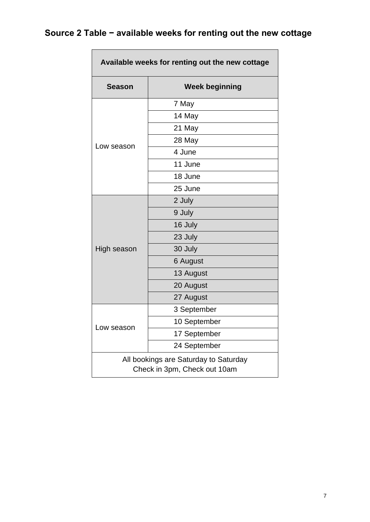# **Source 2 Table − available weeks for renting out the new cottage**

 $\overline{\phantom{a}}$  and  $\overline{\phantom{a}}$  and  $\overline{\phantom{a}}$  and  $\overline{\phantom{a}}$ 

| Available weeks for renting out the new cottage                       |                       |  |  |  |  |
|-----------------------------------------------------------------------|-----------------------|--|--|--|--|
| <b>Season</b>                                                         | <b>Week beginning</b> |  |  |  |  |
|                                                                       | 7 May                 |  |  |  |  |
|                                                                       | 14 May                |  |  |  |  |
|                                                                       | 21 May                |  |  |  |  |
|                                                                       | 28 May                |  |  |  |  |
| Low season                                                            | 4 June                |  |  |  |  |
|                                                                       | 11 June               |  |  |  |  |
|                                                                       | 18 June               |  |  |  |  |
|                                                                       | 25 June               |  |  |  |  |
|                                                                       | 2 July                |  |  |  |  |
|                                                                       | 9 July                |  |  |  |  |
|                                                                       | 16 July               |  |  |  |  |
|                                                                       | 23 July               |  |  |  |  |
| High season                                                           | 30 July               |  |  |  |  |
|                                                                       | 6 August              |  |  |  |  |
|                                                                       | 13 August             |  |  |  |  |
|                                                                       | 20 August             |  |  |  |  |
|                                                                       | 27 August             |  |  |  |  |
|                                                                       | 3 September           |  |  |  |  |
|                                                                       | 10 September          |  |  |  |  |
| Low season                                                            | 17 September          |  |  |  |  |
|                                                                       | 24 September          |  |  |  |  |
| All bookings are Saturday to Saturday<br>Check in 3pm, Check out 10am |                       |  |  |  |  |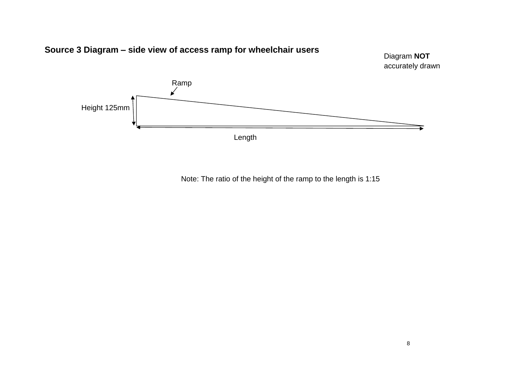

Note: The ratio of the height of the ramp to the length is 1:15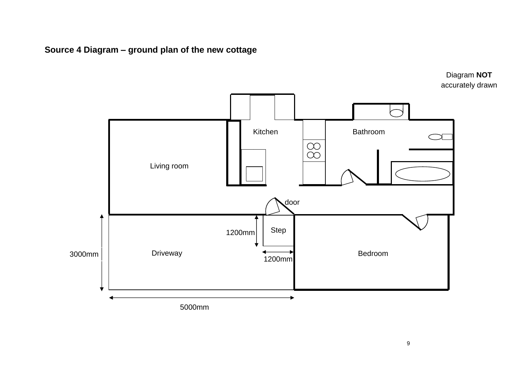**Source 4 Diagram – ground plan of the new cottage**



Diagram **NOT** accurately drawn